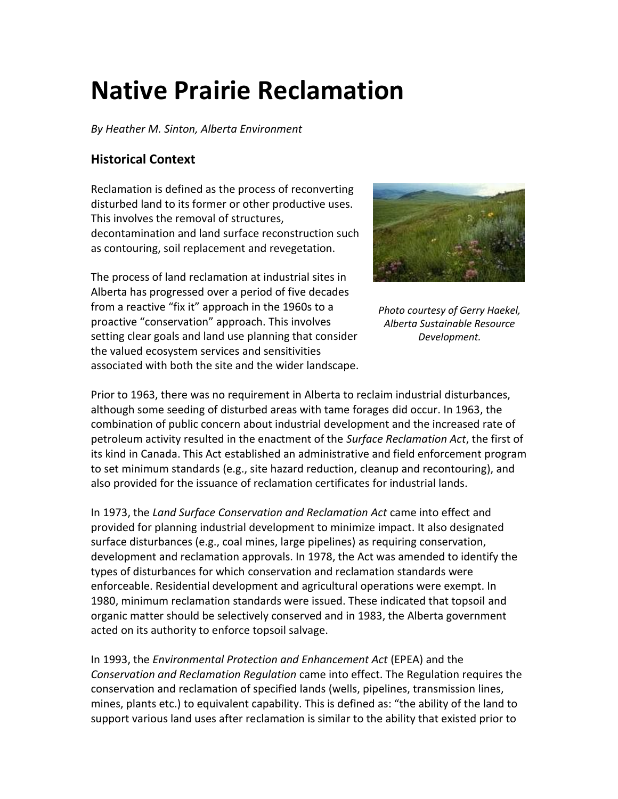# **Native Prairie Reclamation**

*By Heather M. Sinton, Alberta Environment*

## **Historical Context**

Reclamation is defined as the process of reconverting disturbed land to its former or other productive uses. This involves the removal of structures, decontamination and land surface reconstruction such as contouring, soil replacement and revegetation.

The process of land reclamation at industrial sites in Alberta has progressed over a period of five decades from a reactive "fix it" approach in the 1960s to a proactive "conservation" approach. This involves setting clear goals and land use planning that consider the valued ecosystem services and sensitivities associated with both the site and the wider landscape.



*Photo courtesy of Gerry Haekel, Alberta Sustainable Resource Development.*

Prior to 1963, there was no requirement in Alberta to reclaim industrial disturbances, although some seeding of disturbed areas with tame forages did occur. In 1963, the combination of public concern about industrial development and the increased rate of petroleum activity resulted in the enactment of the *Surface Reclamation Act*, the first of its kind in Canada. This Act established an administrative and field enforcement program to set minimum standards (e.g., site hazard reduction, cleanup and recontouring), and also provided for the issuance of reclamation certificates for industrial lands.

In 1973, the *Land Surface Conservation and Reclamation Act* came into effect and provided for planning industrial development to minimize impact. It also designated surface disturbances (e.g., coal mines, large pipelines) as requiring conservation, development and reclamation approvals. In 1978, the Act was amended to identify the types of disturbances for which conservation and reclamation standards were enforceable. Residential development and agricultural operations were exempt. In 1980, minimum reclamation standards were issued. These indicated that topsoil and organic matter should be selectively conserved and in 1983, the Alberta government acted on its authority to enforce topsoil salvage.

In 1993, the *Environmental Protection and Enhancement Act* (EPEA) and the *Conservation and Reclamation Regulation* came into effect. The Regulation requires the conservation and reclamation of specified lands (wells, pipelines, transmission lines, mines, plants etc.) to equivalent capability. This is defined as: "the ability of the land to support various land uses after reclamation is similar to the ability that existed prior to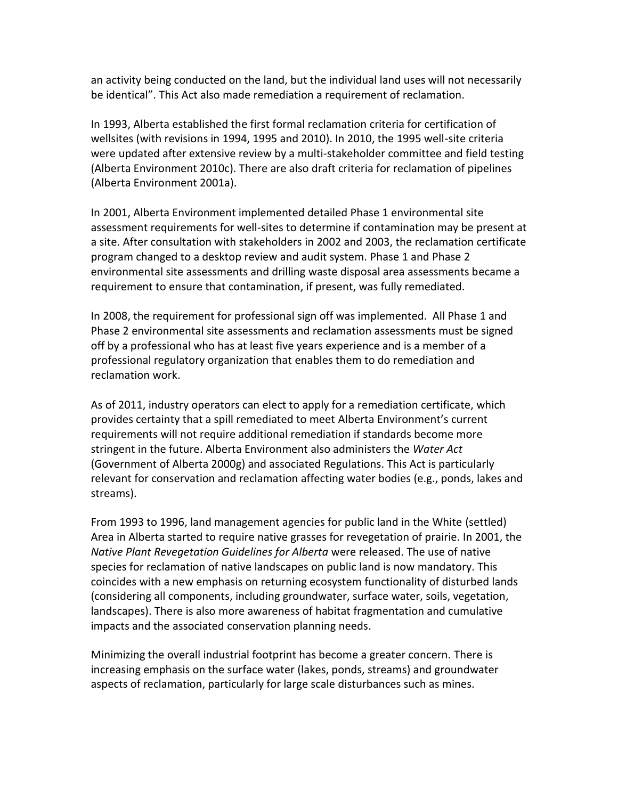an activity being conducted on the land, but the individual land uses will not necessarily be identical". This Act also made remediation a requirement of reclamation.

In 1993, Alberta established the first formal reclamation criteria for certification of wellsites (with revisions in 1994, 1995 and 2010). In 2010, the 1995 well-site criteria were updated after extensive review by a multi-stakeholder committee and field testing (Alberta Environment 2010c). There are also draft criteria for reclamation of pipelines (Alberta Environment 2001a).

In 2001, Alberta Environment implemented detailed Phase 1 environmental site assessment requirements for well-sites to determine if contamination may be present at a site. After consultation with stakeholders in 2002 and 2003, the reclamation certificate program changed to a desktop review and audit system. Phase 1 and Phase 2 environmental site assessments and drilling waste disposal area assessments became a requirement to ensure that contamination, if present, was fully remediated.

In 2008, the requirement for professional sign off was implemented. All Phase 1 and Phase 2 environmental site assessments and reclamation assessments must be signed off by a professional who has at least five years experience and is a member of a professional regulatory organization that enables them to do remediation and reclamation work.

As of 2011, industry operators can elect to apply for a remediation certificate, which provides certainty that a spill remediated to meet Alberta Environment's current requirements will not require additional remediation if standards become more stringent in the future. Alberta Environment also administers the *Water Act* (Government of Alberta 2000g) and associated Regulations. This Act is particularly relevant for conservation and reclamation affecting water bodies (e.g., ponds, lakes and streams).

From 1993 to 1996, land management agencies for public land in the White (settled) Area in Alberta started to require native grasses for revegetation of prairie. In 2001, the *Native Plant Revegetation Guidelines for Alberta* were released. The use of native species for reclamation of native landscapes on public land is now mandatory. This coincides with a new emphasis on returning ecosystem functionality of disturbed lands (considering all components, including groundwater, surface water, soils, vegetation, landscapes). There is also more awareness of habitat fragmentation and cumulative impacts and the associated conservation planning needs.

Minimizing the overall industrial footprint has become a greater concern. There is increasing emphasis on the surface water (lakes, ponds, streams) and groundwater aspects of reclamation, particularly for large scale disturbances such as mines.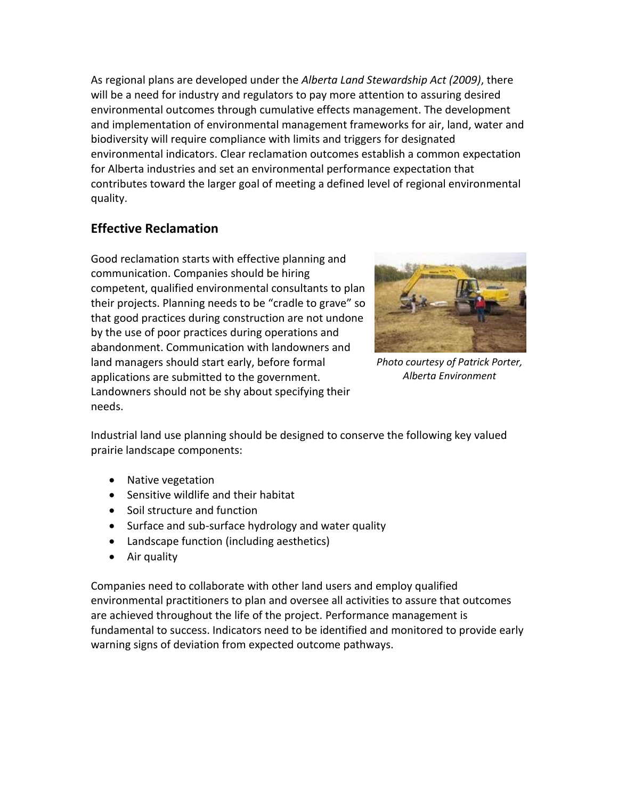As regional plans are developed under the *Alberta Land Stewardship Act (2009)*, there will be a need for industry and regulators to pay more attention to assuring desired environmental outcomes through cumulative effects management. The development and implementation of environmental management frameworks for air, land, water and biodiversity will require compliance with limits and triggers for designated environmental indicators. Clear reclamation outcomes establish a common expectation for Alberta industries and set an environmental performance expectation that contributes toward the larger goal of meeting a defined level of regional environmental quality.

## **Effective Reclamation**

Good reclamation starts with effective planning and communication. Companies should be hiring competent, qualified environmental consultants to plan their projects. Planning needs to be "cradle to grave" so that good practices during construction are not undone by the use of poor practices during operations and abandonment. Communication with landowners and land managers should start early, before formal applications are submitted to the government. Landowners should not be shy about specifying their needs.



*Photo courtesy of Patrick Porter, Alberta Environment*

Industrial land use planning should be designed to conserve the following key valued prairie landscape components:

- Native vegetation
- Sensitive wildlife and their habitat
- Soil structure and function
- Surface and sub-surface hydrology and water quality
- Landscape function (including aesthetics)
- Air quality

Companies need to collaborate with other land users and employ qualified environmental practitioners to plan and oversee all activities to assure that outcomes are achieved throughout the life of the project. Performance management is fundamental to success. Indicators need to be identified and monitored to provide early warning signs of deviation from expected outcome pathways.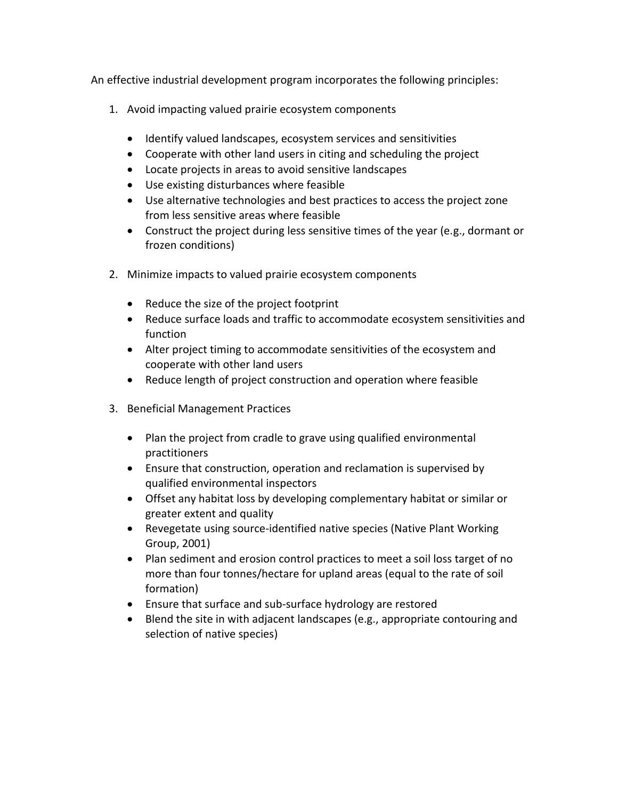An effective industrial development program incorporates the following principles:

- 1. Avoid impacting valued prairie ecosystem components
	- Identify valued landscapes, ecosystem services and sensitivities
	- Cooperate with other land users in citing and scheduling the project
	- Locate projects in areas to avoid sensitive landscapes
	- Use existing disturbances where feasible
	- Use alternative technologies and best practices to access the project zone from less sensitive areas where feasible
	- Construct the project during less sensitive times of the year (e.g., dormant or frozen conditions)
- 2. Minimize impacts to valued prairie ecosystem components
	- Reduce the size of the project footprint
	- Reduce surface loads and traffic to accommodate ecosystem sensitivities and function
	- Alter project timing to accommodate sensitivities of the ecosystem and cooperate with other land users
	- Reduce length of project construction and operation where feasible
- 3. Beneficial Management Practices
	- Plan the project from cradle to grave using qualified environmental practitioners
	- Ensure that construction, operation and reclamation is supervised by qualified environmental inspectors
	- Offset any habitat loss by developing complementary habitat or similar or greater extent and quality
	- Revegetate using source-identified native species (Native Plant Working Group, 2001)
	- Plan sediment and erosion control practices to meet a soil loss target of no more than four tonnes/hectare for upland areas (equal to the rate of soil formation)
	- Ensure that surface and sub-surface hydrology are restored
	- Blend the site in with adjacent landscapes (e.g., appropriate contouring and selection of native species)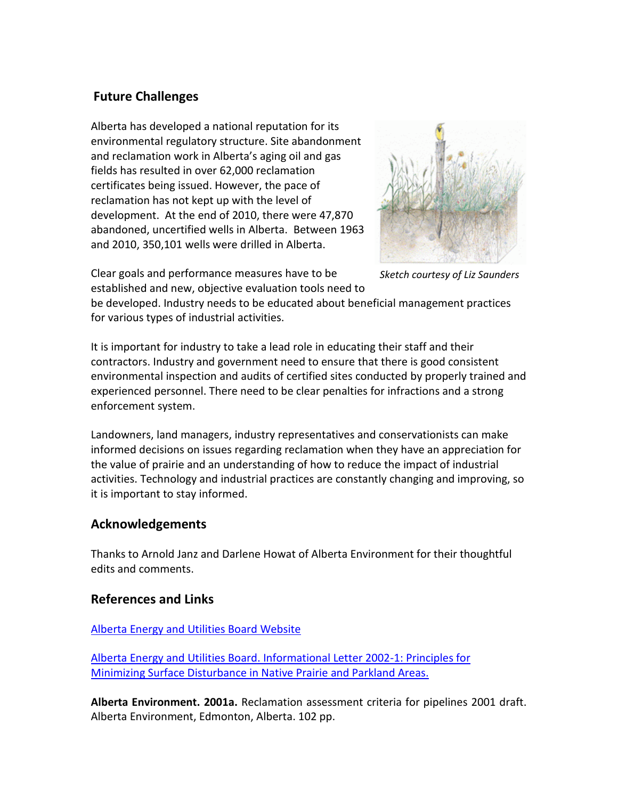## **Future Challenges**

Alberta has developed a national reputation for its environmental regulatory structure. Site abandonment and reclamation work in Alberta's aging oil and gas fields has resulted in over 62,000 reclamation certificates being issued. However, the pace of reclamation has not kept up with the level of development. At the end of 2010, there were 47,870 abandoned, uncertified wells in Alberta. Between 1963 and 2010, 350,101 wells were drilled in Alberta.



*Sketch courtesy of Liz Saunders*

Clear goals and performance measures have to be established and new, objective evaluation tools need to

be developed. Industry needs to be educated about beneficial management practices for various types of industrial activities.

It is important for industry to take a lead role in educating their staff and their contractors. Industry and government need to ensure that there is good consistent environmental inspection and audits of certified sites conducted by properly trained and experienced personnel. There need to be clear penalties for infractions and a strong enforcement system.

Landowners, land managers, industry representatives and conservationists can make informed decisions on issues regarding reclamation when they have an appreciation for the value of prairie and an understanding of how to reduce the impact of industrial activities. Technology and industrial practices are constantly changing and improving, so it is important to stay informed.

### **Acknowledgements**

Thanks to Arnold Janz and Darlene Howat of Alberta Environment for their thoughtful edits and comments.

### **References and Links**

#### [Alberta Energy and Utilities Board Website](http://www.eub.gov.ab.ca/)

[Alberta Energy and Utilities Board. Informational Letter 2002-1: Principles for](http://www.ercb.ca/portal/server.pt/gateway/PTARGS_0_0_321_0_0_43/http%3B/ercbContent/publishedcontent/publish/ercb_home/industry_zone/rules__regulations__requirements/information_letters__interim_directives/informational_letters/il2002_01.aspx)  [Minimizing Surface Disturbance in Native Prairie and Parkland Areas.](http://www.ercb.ca/portal/server.pt/gateway/PTARGS_0_0_321_0_0_43/http%3B/ercbContent/publishedcontent/publish/ercb_home/industry_zone/rules__regulations__requirements/information_letters__interim_directives/informational_letters/il2002_01.aspx) 

**Alberta Environment. 2001a.** Reclamation assessment criteria for pipelines 2001 draft. Alberta Environment, Edmonton, Alberta. 102 pp.